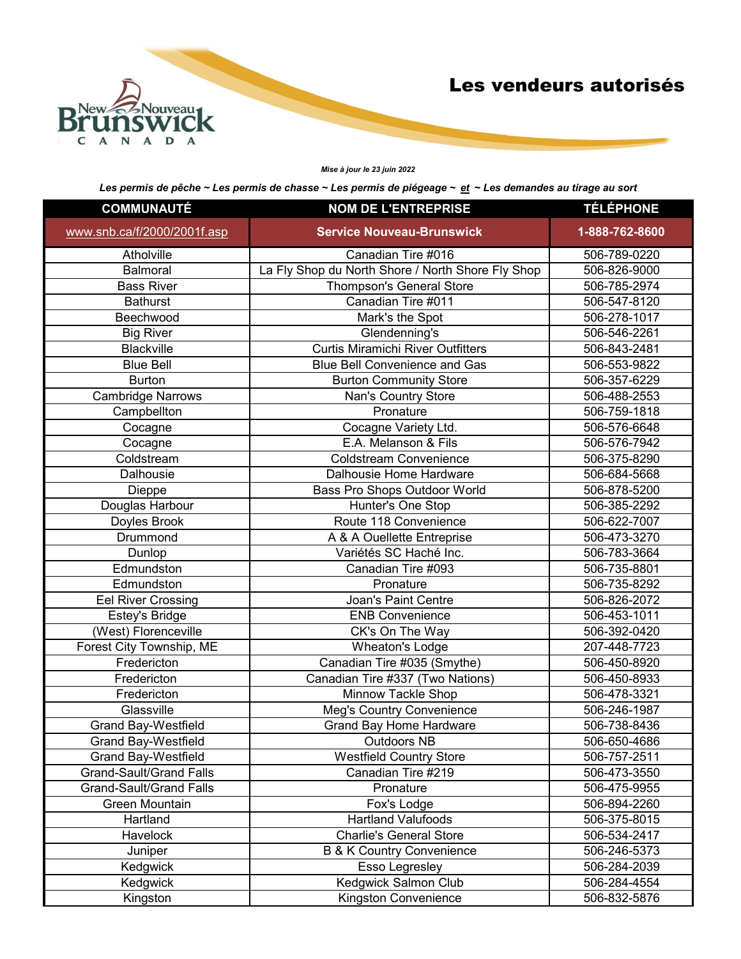

## *Mise à jour le 23 juin 2022*

| <b>COMMUNAUTÉ</b>              | <b>NOM DE L'ENTREPRISE</b>                        | <b>TÉLÉPHONE</b> |
|--------------------------------|---------------------------------------------------|------------------|
| www.snb.ca/f/2000/2001f.asp    | <b>Service Nouveau-Brunswick</b>                  | 1-888-762-8600   |
| Atholville                     | Canadian Tire #016                                | 506-789-0220     |
| Balmoral                       | La Fly Shop du North Shore / North Shore Fly Shop | 506-826-9000     |
| <b>Bass River</b>              | Thompson's General Store                          | 506-785-2974     |
| <b>Bathurst</b>                | Canadian Tire #011                                | 506-547-8120     |
| Beechwood                      | Mark's the Spot                                   | 506-278-1017     |
| <b>Big River</b>               | Glendenning's                                     | 506-546-2261     |
| Blackville                     | <b>Curtis Miramichi River Outfitters</b>          | 506-843-2481     |
| <b>Blue Bell</b>               | <b>Blue Bell Convenience and Gas</b>              | 506-553-9822     |
| <b>Burton</b>                  | <b>Burton Community Store</b>                     | 506-357-6229     |
| <b>Cambridge Narrows</b>       | Nan's Country Store                               | 506-488-2553     |
| Campbellton                    | Pronature                                         | 506-759-1818     |
| Cocagne                        | Cocagne Variety Ltd.                              | 506-576-6648     |
| Cocagne                        | E.A. Melanson & Fils                              | 506-576-7942     |
| Coldstream                     | <b>Coldstream Convenience</b>                     | 506-375-8290     |
| Dalhousie                      | Dalhousie Home Hardware                           | 506-684-5668     |
| Dieppe                         | Bass Pro Shops Outdoor World                      | 506-878-5200     |
| Douglas Harbour                | Hunter's One Stop                                 | 506-385-2292     |
| Doyles Brook                   | Route 118 Convenience                             | 506-622-7007     |
| Drummond                       | A & A Ouellette Entreprise                        | 506-473-3270     |
| Dunlop                         | Variétés SC Haché Inc.                            | 506-783-3664     |
| Edmundston                     | Canadian Tire #093                                | 506-735-8801     |
| Edmundston                     | Pronature                                         | 506-735-8292     |
| <b>Eel River Crossing</b>      | Joan's Paint Centre                               | 506-826-2072     |
| Estey's Bridge                 | <b>ENB Convenience</b>                            | 506-453-1011     |
| (West) Florenceville           | CK's On The Way                                   | 506-392-0420     |
| Forest City Township, ME       | Wheaton's Lodge                                   | 207-448-7723     |
| Fredericton                    | Canadian Tire #035 (Smythe)                       | 506-450-8920     |
| Fredericton                    | Canadian Tire #337 (Two Nations)                  | 506-450-8933     |
| Fredericton                    | Minnow Tackle Shop                                | 506-478-3321     |
| Glassville                     | Meg's Country Convenience                         | 506-246-1987     |
| <b>Grand Bay-Westfield</b>     | <b>Grand Bay Home Hardware</b>                    | 506-738-8436     |
| <b>Grand Bay-Westfield</b>     | <b>Outdoors NB</b>                                | 506-650-4686     |
| Grand Bay-Westfield            | <b>Westfield Country Store</b>                    | 506-757-2511     |
| <b>Grand-Sault/Grand Falls</b> | Canadian Tire #219                                | 506-473-3550     |
| <b>Grand-Sault/Grand Falls</b> | Pronature                                         | 506-475-9955     |
| Green Mountain                 | Fox's Lodge                                       | 506-894-2260     |
| Hartland                       | <b>Hartland Valufoods</b>                         | 506-375-8015     |
| Havelock                       | <b>Charlie's General Store</b>                    | 506-534-2417     |
| Juniper                        | <b>B &amp; K Country Convenience</b>              | 506-246-5373     |
| Kedgwick                       | Esso Legresley                                    | 506-284-2039     |
| Kedgwick                       | Kedgwick Salmon Club                              | 506-284-4554     |
| Kingston                       | Kingston Convenience                              | 506-832-5876     |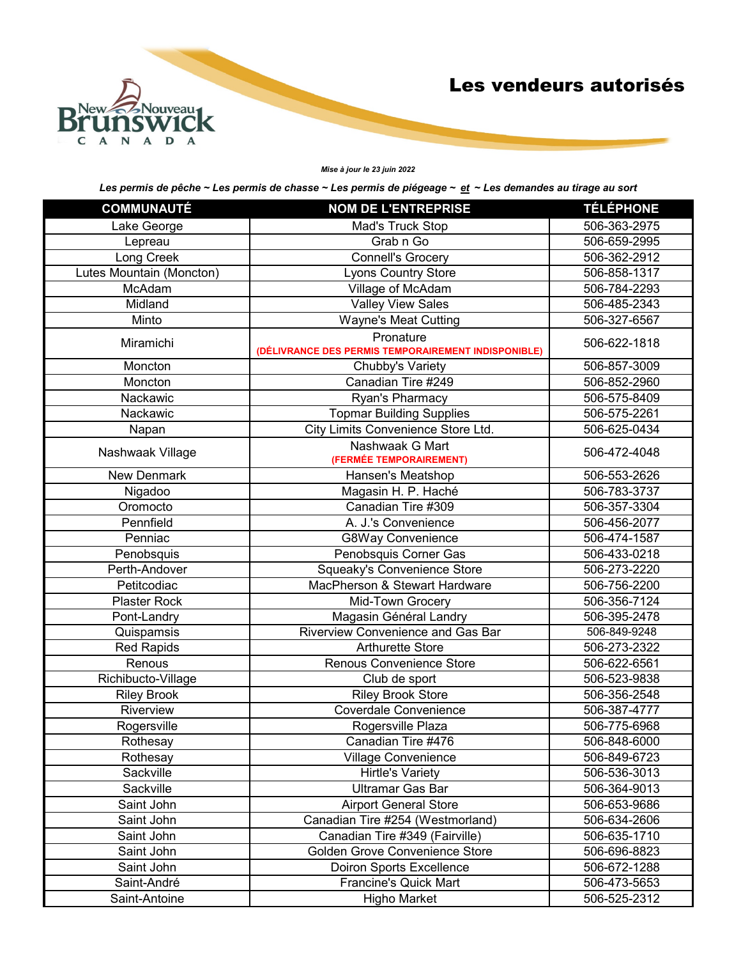

## *Mise à jour le 23 juin 2022*

| <b>COMMUNAUTÉ</b>        | <b>NOM DE L'ENTREPRISE</b>                                       | <b>TÉLÉPHONE</b> |
|--------------------------|------------------------------------------------------------------|------------------|
| Lake George              | Mad's Truck Stop                                                 | 506-363-2975     |
| Lepreau                  | Grab n Go                                                        | 506-659-2995     |
| Long Creek               | <b>Connell's Grocery</b>                                         | 506-362-2912     |
| Lutes Mountain (Moncton) | <b>Lyons Country Store</b>                                       | 506-858-1317     |
| McAdam                   | Village of McAdam                                                | 506-784-2293     |
| Midland                  | <b>Valley View Sales</b>                                         | 506-485-2343     |
| Minto                    | <b>Wayne's Meat Cutting</b>                                      | 506-327-6567     |
| Miramichi                | Pronature<br>(DÉLIVRANCE DES PERMIS TEMPORAIREMENT INDISPONIBLE) | 506-622-1818     |
| Moncton                  | Chubby's Variety                                                 | 506-857-3009     |
| Moncton                  | Canadian Tire #249                                               | 506-852-2960     |
| Nackawic                 | Ryan's Pharmacy                                                  | 506-575-8409     |
| Nackawic                 | <b>Topmar Building Supplies</b>                                  | 506-575-2261     |
| Napan                    | City Limits Convenience Store Ltd.                               | 506-625-0434     |
| Nashwaak Village         | Nashwaak G Mart<br>(FERMÉE TEMPORAIREMENT)                       | 506-472-4048     |
| <b>New Denmark</b>       | Hansen's Meatshop                                                | 506-553-2626     |
| Nigadoo                  | Magasin H. P. Haché                                              | 506-783-3737     |
| Oromocto                 | Canadian Tire #309                                               | 506-357-3304     |
| Pennfield                | A. J.'s Convenience                                              | 506-456-2077     |
| Penniac                  | <b>G8Way Convenience</b>                                         | 506-474-1587     |
| Penobsquis               | Penobsquis Corner Gas                                            | 506-433-0218     |
| Perth-Andover            | Squeaky's Convenience Store                                      | 506-273-2220     |
| Petitcodiac              | MacPherson & Stewart Hardware                                    | 506-756-2200     |
| Plaster Rock             | Mid-Town Grocery                                                 | 506-356-7124     |
| Pont-Landry              | Magasin Général Landry                                           | 506-395-2478     |
| Quispamsis               | Riverview Convenience and Gas Bar                                | 506-849-9248     |
| <b>Red Rapids</b>        | <b>Arthurette Store</b>                                          | 506-273-2322     |
| Renous                   | <b>Renous Convenience Store</b>                                  | 506-622-6561     |
| Richibucto-Village       | Club de sport                                                    | 506-523-9838     |
| <b>Riley Brook</b>       | <b>Riley Brook Store</b>                                         | 506-356-2548     |
| Riverview                | Coverdale Convenience                                            | 506-387-4777     |
| Rogersville              | Rogersville Plaza                                                | 506-775-6968     |
| Rothesay                 | Canadian Tire #476                                               | 506-848-6000     |
| Rothesay                 | <b>Village Convenience</b>                                       | 506-849-6723     |
| Sackville                | <b>Hirtle's Variety</b>                                          | 506-536-3013     |
| Sackville                | <b>Ultramar Gas Bar</b>                                          | 506-364-9013     |
| Saint John               | <b>Airport General Store</b>                                     | 506-653-9686     |
| Saint John               | Canadian Tire #254 (Westmorland)                                 | 506-634-2606     |
| Saint John               | Canadian Tire #349 (Fairville)                                   | 506-635-1710     |
| Saint John               | <b>Golden Grove Convenience Store</b>                            | 506-696-8823     |
| Saint John               | <b>Doiron Sports Excellence</b>                                  | 506-672-1288     |
| Saint-André              | Francine's Quick Mart                                            | 506-473-5653     |
| Saint-Antoine            | <b>Higho Market</b>                                              | 506-525-2312     |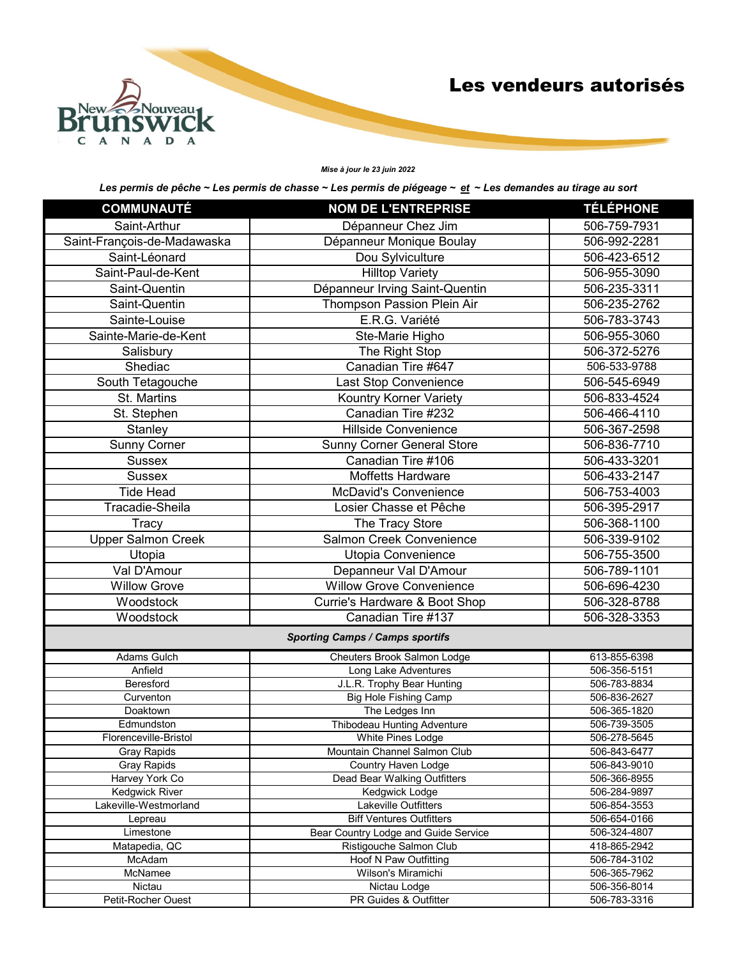

#### *Mise à jour le 23 juin 2022*

| <b>COMMUNAUTÉ</b>                 | <b>NOM DE L'ENTREPRISE</b>                        | <b>TÉLÉPHONE</b>             |
|-----------------------------------|---------------------------------------------------|------------------------------|
| Saint-Arthur                      | Dépanneur Chez Jim                                | 506-759-7931                 |
| Saint-François-de-Madawaska       | Dépanneur Monique Boulay                          | 506-992-2281                 |
| Saint-Léonard                     | Dou Sylviculture                                  | 506-423-6512                 |
| Saint-Paul-de-Kent                | <b>Hilltop Variety</b>                            | 506-955-3090                 |
| Saint-Quentin                     | Dépanneur Irving Saint-Quentin                    | 506-235-3311                 |
| Saint-Quentin                     | Thompson Passion Plein Air                        | 506-235-2762                 |
| Sainte-Louise                     | E.R.G. Variété                                    | 506-783-3743                 |
| Sainte-Marie-de-Kent              | Ste-Marie Higho                                   | 506-955-3060                 |
| Salisbury                         | The Right Stop                                    | 506-372-5276                 |
| Shediac                           | Canadian Tire #647                                | 506-533-9788                 |
| South Tetagouche                  | Last Stop Convenience                             | 506-545-6949                 |
| St. Martins                       | Kountry Korner Variety                            | 506-833-4524                 |
| St. Stephen                       | Canadian Tire #232                                | 506-466-4110                 |
|                                   | <b>Hillside Convenience</b>                       |                              |
| Stanley                           |                                                   | 506-367-2598                 |
| <b>Sunny Corner</b>               | <b>Sunny Corner General Store</b>                 | 506-836-7710                 |
| <b>Sussex</b>                     | Canadian Tire #106                                | 506-433-3201                 |
| <b>Sussex</b>                     | <b>Moffetts Hardware</b>                          | 506-433-2147                 |
| <b>Tide Head</b>                  | <b>McDavid's Convenience</b>                      | 506-753-4003                 |
| Tracadie-Sheila                   | Losier Chasse et Pêche                            | 506-395-2917                 |
| Tracy                             | The Tracy Store                                   | 506-368-1100                 |
| <b>Upper Salmon Creek</b>         | Salmon Creek Convenience                          | 506-339-9102                 |
| Utopia                            | Utopia Convenience                                | 506-755-3500                 |
| Val D'Amour                       | Depanneur Val D'Amour                             | 506-789-1101                 |
| <b>Willow Grove</b>               | <b>Willow Grove Convenience</b>                   | 506-696-4230                 |
| Woodstock                         | Currie's Hardware & Boot Shop                     | 506-328-8788                 |
| Woodstock                         | Canadian Tire #137                                | 506-328-3353                 |
|                                   | <b>Sporting Camps / Camps sportifs</b>            |                              |
| <b>Adams Gulch</b>                | Cheuters Brook Salmon Lodge                       | 613-855-6398                 |
| Anfield                           | Long Lake Adventures                              | 506-356-5151                 |
| <b>Beresford</b>                  | J.L.R. Trophy Bear Hunting                        | 506-783-8834                 |
| Curventon                         | <b>Big Hole Fishing Camp</b>                      | 506-836-2627                 |
| Doaktown                          | The Ledges Inn                                    | 506-365-1820                 |
| Edmundston                        | Thibodeau Hunting Adventure                       | 506-739-3505                 |
| Florenceville-Bristol             | White Pines Lodge<br>Mountain Channel Salmon Club | 506-278-5645<br>506-843-6477 |
| <b>Gray Rapids</b><br>Gray Rapids | Country Haven Lodge                               | 506-843-9010                 |
| Harvey York Co                    | Dead Bear Walking Outfitters                      | 506-366-8955                 |
| <b>Kedgwick River</b>             | Kedgwick Lodge                                    | 506-284-9897                 |
| Lakeville-Westmorland             | <b>Lakeville Outfitters</b>                       | 506-854-3553                 |
| Lepreau                           | <b>Biff Ventures Outfitters</b>                   | 506-654-0166                 |
| Limestone                         | Bear Country Lodge and Guide Service              | 506-324-4807                 |
| Matapedia, QC                     | Ristigouche Salmon Club                           | 418-865-2942                 |
| McAdam                            | Hoof N Paw Outfitting                             | 506-784-3102                 |
| McNamee                           | Wilson's Miramichi                                | 506-365-7962                 |
| Nictau                            | Nictau Lodge                                      | 506-356-8014                 |
| Petit-Rocher Ouest                | PR Guides & Outfitter                             | 506-783-3316                 |